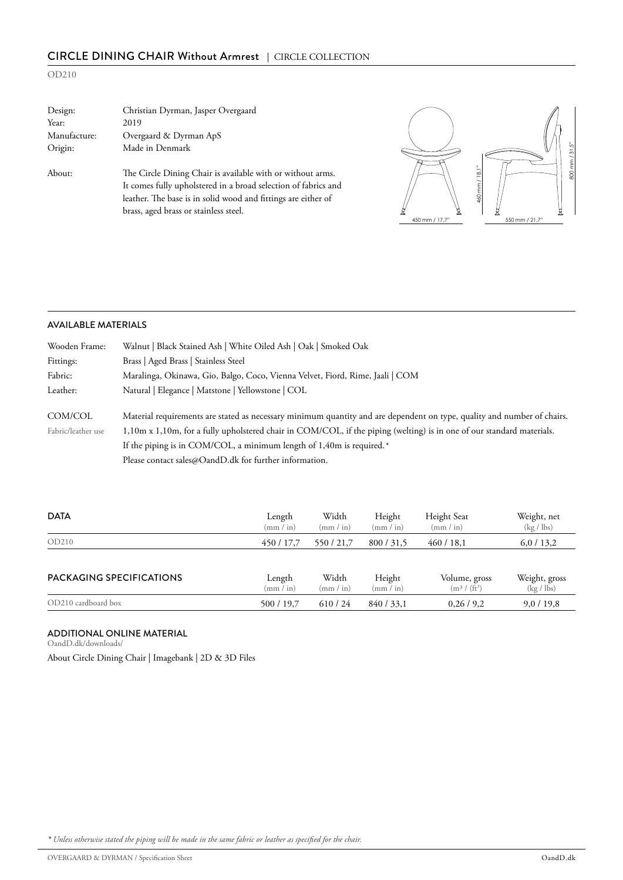# CIRCLE DINING CHAIR Without Armrest | CIRCLE COLLECTION

## OD210

| Design:      | Christian Dyrman, Jasper Overgaard                                                                                                                                                                                                     |                |
|--------------|----------------------------------------------------------------------------------------------------------------------------------------------------------------------------------------------------------------------------------------|----------------|
| Year:        | 2019                                                                                                                                                                                                                                   |                |
| Manufacture: | Overgaard & Dyrman ApS                                                                                                                                                                                                                 |                |
| Origin:      | Made in Denmark                                                                                                                                                                                                                        |                |
| About:       | The Circle Dining Chair is available with or without arms.<br>It comes fully upholstered in a broad selection of fabrics and<br>leather. The base is in solid wood and fittings are either of<br>brass, aged brass or stainless steel. | 450 mm / 17.7" |



## AVAILABLE MATERIALS

| Wooden Frame:      | Walnut   Black Stained Ash   White Oiled Ash   Oak   Smoked Oak                                                         |
|--------------------|-------------------------------------------------------------------------------------------------------------------------|
| Fittings:          | Brass   Aged Brass   Stainless Steel                                                                                    |
| Fabric:            | Maralinga, Okinawa, Gio, Balgo, Coco, Vienna Velvet, Fiord, Rime, Jaali   COM                                           |
| Leather:           | Natural   Elegance   Matstone   Yellowstone   COL                                                                       |
|                    |                                                                                                                         |
| COM/COL            | Material requirements are stated as necessary minimum quantity and are dependent on type, quality and number of chairs. |
| Fabric/leather use | 1,10m x 1,10m, for a fully upholstered chair in COM/COL, if the piping (welting) is in one of our standard materials.   |
|                    | If the piping is in COM/COL, a minimum length of $1,40m$ is required. <sup>*</sup>                                      |
|                    | Please contact sales@OandD.dk for further information.                                                                  |

| <b>DATA</b>                     | Length<br>$\text{(mm / in)}$ | Width<br>(mm / in) | Height<br>$\text{(mm / in)}$ | Height Seat<br>(mm / in)          | Weight, net<br>$(\text{kg}/\text{lb})$   |
|---------------------------------|------------------------------|--------------------|------------------------------|-----------------------------------|------------------------------------------|
| OD210                           | 450 / 17.7                   | 550/21.7           | 800/31,5                     | 460/18,1                          | 6,0/13,2                                 |
|                                 |                              |                    |                              |                                   |                                          |
| <b>PACKAGING SPECIFICATIONS</b> | Length<br>$\text{(mm / in)}$ | Width<br>(mm / in) | Height<br>$\text{(mm / in)}$ | Volume, gross<br>$(m^3 / (ft^3))$ | Weight, gross<br>$(\text{kg}/\text{lb})$ |
| OD210 cardboard box             | 500 / 19,7                   | 610/24             | 840/33,1                     | 0,26/9,2                          | 9,0/19,8                                 |

#### ADDITIONAL ONLINE MATERIAL

O[andD.dk/downloads/](https://oandd.dk/downloads/)

[About Circle Dining Chair](https://oandd.dk/product/circle-dining-chair/) | [Imagebank](https://oandd.dk/press/circle-dining-chair/) | [2D & 3D Files](https://oandd.dk/wp-content/uploads/2019/05/Circle-Dining-Chair.zip)

*\* Unless otherwise stated the piping will be made in the same fabric or leather as specified for the chair.*